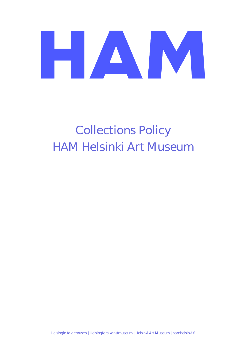# HAN M

### Collections Policy HAM Helsinki Art Museum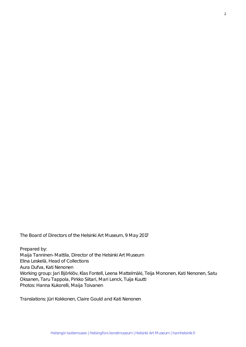The Board of Directors of the Helsinki Art Museum, 9 May 2017

Prepared by: Maija Tanninen-Mattila, Director of the Helsinki Art Museum Elina Leskelä, Head of Collections Aura Dufva, Kati Nenonen Working group: Jari Björklöv, Klas Fontell, Leena Mattelmäki, Teija Mononen, Kati Nenonen, Satu Oksanen, Taru Tappola, Pirkko Siitari, Mari Lenck, Tuija Kuutti Photos: Hanna Kukorelli, Maija Toivanen

Translations: Jüri Kokkonen, Claire Gould and Kati Nenonen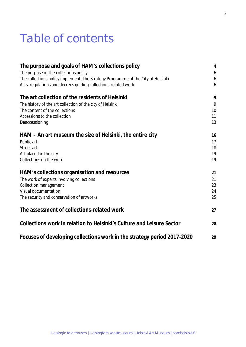### Table of contents

| The purpose and goals of HAM's collections policy                                | $\overline{4}$ |
|----------------------------------------------------------------------------------|----------------|
| The purpose of the collections policy                                            | 6              |
| The collections policy implements the Strategy Programme of the City of Helsinki | 6              |
| Acts, regulations and decrees guiding collections-related work                   | 6              |
| The art collection of the residents of Helsinki                                  | 9              |
| The history of the art collection of the city of Helsinki                        | 9              |
| The content of the collections                                                   | 10             |
| Accessions to the collection                                                     | 11             |
| Deaccessioning                                                                   | 13             |
| HAM – An art museum the size of Helsinki, the entire city                        | 16             |
| Public art                                                                       | 17             |
| Street art                                                                       | 18             |
| Art placed in the city                                                           | 19             |
| Collections on the web                                                           | 19             |
| HAM's collections organisation and resources                                     | 21             |
| The work of experts involving collections                                        | 21             |
| <b>Collection management</b>                                                     | 23             |
| Visual documentation                                                             | 24             |
| The security and conservation of artworks                                        | 25             |
| The assessment of collections-related work                                       | 27             |
| Collections work in relation to Helsinki's Culture and Leisure Sector            | 28             |
| Focuses of developing collections work in the strategy period 2017-2020          | 29             |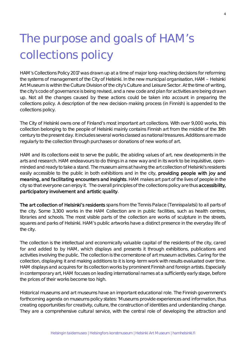## The purpose and goals of HAM's collections policy

HAM's Collections Policy 2017 was drawn up at a time of major long-reaching decisions for reforming the systems of management of the City of Helsinki. In the new municipal organisation, HAM – Helsinki Art Museum is within the Culture Division of the city's Culture and Leisure Sector. At the time of writing, the city's code of governance is being revised, and a new code and plan for activities are being drawn up. Not all the changes caused by these actions could be taken into account in preparing the collections policy. A description of the new decision-making process (in Finnish) is appended to the collections policy.

The City of Helsinki owns one of Finland's most important art collections. With over 9,000 works, this collection belonging to the people of Helsinki mainly contains Finnish art from the middle of the 19th century to the present day. It includes several works classed as national treasures. Additions are made regularly to the collection through purchases or donations of new works of art.

HAM and its collections exist to serve the public, the abiding values of art, new developments in the arts and research. HAM endeavours to do things in a new way and in its work to be inquisitive, openminded and ready to take a stand. The museum aims at having the art collection of Helsinki's residents easily accessible to the public in both exhibitions and in the city, providing people with joy and meaning, and facilitating encounters and insights. HAM makes art part of the lives of people in the city so that everyone can enjoy it. The overall principles of the collections policy are thus accessibility, participatory involvement and artistic quality.

The art collection of Helsinki's residents spans from the Tennis Palace (Tennispalatsi) to all parts of the city. Some 3,300 works in the HAM Collection are in public facilities, such as health centres, libraries and schools. The most visible parts of the collection are works of sculpture in the streets, squares and parks of Helsinki. HAM's public artworks have a distinct presence in the everyday life of the city.

The collection is the intellectual and economically valuable capital of the residents of the city, cared for and added to by HAM, which displays and presents it through exhibitions, publications and activities involving the public. The collection is the cornerstone of art museum activities. Caring for the collection, displaying it and making additions to it is long-term work with results evaluated over time. HAM displays and acquires for its collection works by prominent Finnish and foreign artists. Especially in contemporary art, HAM focuses on leading international names at a sufficiently early stage, before the prices of their works become too high.

Historical museums and art museums have an important educational role. The Finnish government's forthcoming agenda on museums policy states: 'Museums provide experiences and information, thus creating opportunities for creativity, culture, the construction of identities and understanding change. They are a comprehensive cultural service, with the central role of developing the attraction and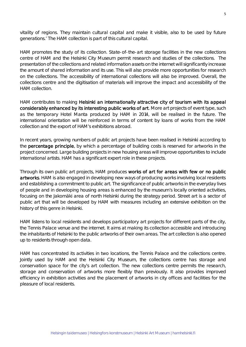vitality of regions. They maintain cultural capital and make it visible, also to be used by future generations.' The HAM collection is part of this cultural capital.

HAM promotes the study of its collection. State-of-the-art storage facilities in the new collections centre of HAM and the Helsinki City Museum permit research and studies of the collections. The presentation of the collections and related information assets on the internet will significantly increase the amount of shared information and its use. This will also provide more opportunities for research on the collections. The accessibility of international collections will also be improved. Overall, the collections centre and the digitisation of materials will improve the impact and accessibility of the HAM collection.

HAM contributes to making Helsinki an internationally attractive city of tourism with its appeal considerably enhanced by its interesting public works of art. More art projects of event type, such as the temporary Hotel Manta produced by HAM in 2014, will be realised in the future. The international orientation will be reinforced in terms of content by loans of works from the HAM collection and the export of HAM's exhibitions abroad.

In recent years, growing numbers of public art projects have been realised in Helsinki according to the percentage principle, by which a percentage of building costs is reserved for artworks in the project concerned. Large building projects in new housing areas will improve opportunities to include international artists. HAM has a significant expert role in these projects.

Through its own public art projects, HAM produces works of art for areas with few or no public artworks. HAM is also engaged in developing new ways of producing works involving local residents and establishing a commitment to public art. The significance of public artworks in the everyday lives of people and in developing housing areas is enhanced by the museum's locally oriented activities, focusing on the Jakomäki area of north Helsinki during the strategy period. Street art is a sector of public art that will be developed by HAM with measures including an extensive exhibition on the history of this genre in Helsinki.

HAM listens to local residents and develops participatory art projects for different parts of the city, the Tennis Palace venue and the internet. It aims at making its collection accessible and introducing the inhabitants of Helsinki to the public artworks of their own areas. The art collection is also opened up to residents through open data.

HAM has concentrated its activities in two locations, the Tennis Palace and the collections centre. Jointly used by HAM and the Helsinki City Museum, the collections centre has storage and conservation space for the city's art collection. The new collections centre permits the research, storage and conservation of artworks more flexibly than previously. It also provides improved efficiency in exhibition activities and the placement of artworks in city offices and facilities for the pleasure of local residents.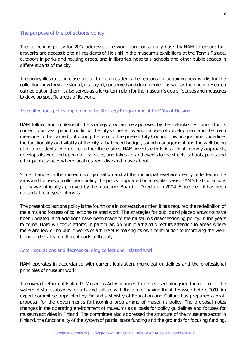#### The purpose of the collections policy

The collections policy for 2017 addresses the work done on a daily basis by HAM to ensure that artworks are accessible to all residents of Helsinki in the museum's exhibitions at the Tennis Palace, outdoors in parks and housing areas, and in libraries, hospitals, schools and other public spaces in different parts of the city.

The policy illustrates in closer detail to local residents the reasons for acquiring new works for the collection, how they are stored, displayed, conserved and documented, as well as the kind of research carried out on them. It also serves as a long-term plan for the museum's goals, focuses and measures to develop specific areas of its work.

#### The collections policy implements the Strategy Programme of the City of Helsinki

HAM follows and implements the strategy programme approved by the Helsinki City Council for its current four-year period, outlining the city's chief aims and focuses of development and the main measures to be carried out during the term of the present City Council. This programme underlines the functionality and vitality of the city, a balanced budget, sound management and the well-being of local residents. In order to further these aims, HAM invests efforts in a client-friendly approach, develops its web and open data services, and takes art and events to the streets, schools, parks and other public spaces where local residents live and move about.

Since changes in the museum's organisation and at the municipal level are clearly reflected in the aims and focuses of collections policy, the policy is updated on a regular basis. HAM's first collections policy was officially approved by the museum's Board of Directors in 2004. Since then, it has been revised at four-year intervals.

The present collections policy is the fourth one in consecutive order. It has required the redefinition of the aims and focuses of collections-related work. The strategies for public and placed artworks have been updated, and additions have been made to the museum's deaccessioning policy. In the years to come, HAM will focus efforts, in particular, on public art and direct its attention to areas where there are few or no public works of art. HAM is making its own contribution to improving the wellbeing and vitality of different parts of the city.

#### Acts, regulations and decrees guiding collections-related work

HAM operates in accordance with current legislation, municipal guidelines and the professional principles of museum work.

The overall reform of Finland's Museums Act is planned to be realised alongside the reform of the system of state subsidies for arts and culture with the aim of having the Act passed before 2019. An expert committee appointed by Finland's Ministry of Education and Culture has prepared a draft proposal for the government's forthcoming programme of museums policy. The proposal notes changes in the operating environment of museums as a basis for policy guidelines and focuses for museum activities in Finland. The committee also addressed the structure of the museums sector in Finland, the functionality of the system of partial state funding and the grounds for focusing funding.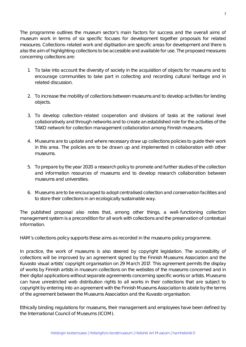The programme outlines the museum sector's main factors for success and the overall aims of museum work in terms of six specific focuses for development together proposals for related measures. Collections-related work and digitisation are specific areas for development and there is also the aim of highlighting collections to be accessible and available for use. The proposed measures concerning collections are:

- 1. To take into account the diversity of society in the acquisition of objects for museums and to encourage communities to take part in collecting and recording cultural heritage and in related discussion.
- 2. To increase the mobility of collections between museums and to develop activities for lending objects.
- 3. To develop collection-related cooperation and divisions of tasks at the national level collaboratively and through networks and to create an established role for the activities of the TAKO network for collection management collaboration among Finnish museums.
- 4. Museums are to update and where necessary draw up collections policies to guide their work in this area. The policies are to be drawn up and implemented in collaboration with other museums.
- 5. To prepare by the year 2020 a research policy to promote and further studies of the collection and information resources of museums and to develop research collaboration between museums and universities.
- 6. Museums are to be encouraged to adopt centralised collection and conservation facilities and to store their collections in an ecologically sustainable way.

The published proposal also notes that, among other things, a well-functioning collection management system is a precondition for all work with collections and the preservation of contextual information.

HAM's collections policy supports these aims as recorded in the museums policy programme.

In practice, the work of museums is also steered by copyright legislation. The accessibility of collections will be improved by an agreement signed by the Finnish Museums Association and the Kuvasto visual artists' copyright organisation on 29 March 2017. This agreement permits the display of works by Finnish artists in museum collections on the websites of the museums concerned and in their digital applications without separate agreements concerning specific works or artists. Museums can have unrestricted web distribution rights to all works in their collections that are subject to copyright by entering into an agreement with the Finnish Museums Association to abide by the terms of the agreement between the Museums Association and the Kuvasto organisation.

Ethically binding regulations for museums, their management and employees have been defined by the International Council of Museums (ICOM).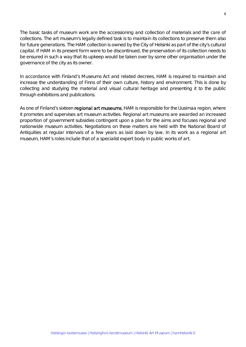The basic tasks of museum work are the accessioning and collection of materials and the care of collections. The art museum's legally defined task is to maintain its collections to preserve them also for future generations. The HAM collection is owned by the City of Helsinki as part of the city's cultural capital. If HAM in its present form were to be discontinued, the preservation of its collection needs to be ensured in such a way that its upkeep would be taken over by some other organisation under the governance of the city as its owner.

In accordance with Finland's Museums Act and related decrees, HAM is required to maintain and increase the understanding of Finns of their own culture, history and environment. This is done by collecting and studying the material and visual cultural heritage and presenting it to the public through exhibitions and publications.

As one of Finland's sixteen regional art museums, HAM is responsible for the Uusimaa region, where it promotes and supervises art museum activities. Regional art museums are awarded an increased proportion of government subsidies contingent upon a plan for the aims and focuses regional and nationwide museum activities. Negotiations on these matters are held with the National Board of Antiquities at regular intervals of a few years as laid down by law. In its work as a regional art museum, HAM's roles include that of a specialist expert body in public works of art.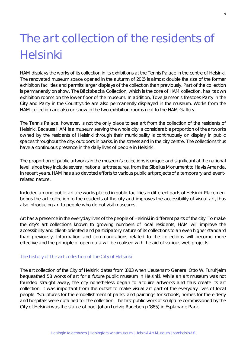### The art collection of the residents of Helsinki

HAM displays the works of its collection in its exhibitions at the Tennis Palace in the centre of Helsinki. The renovated museum space opened in the autumn of 2015 is almost double the size of the former exhibition facilities and permits larger displays of the collection than previously. Part of the collection is permanently on show. The Bäcksbacka Collection, which is the core of HAM collection, has its own exhibition rooms on the lower floor of the museum. In addition, Tove Jansson's frescoes *Party in the City* and *Party in the Countryside* are also permanently displayed in the museum. Works from the HAM collection are also on show in the two exhibition rooms next to the HAM Gallery.

The Tennis Palace, however, is not the only place to see art from the collection of the residents of Helsinki. Because HAM is a museum serving the whole city, a considerable proportion of the artworks owned by the residents of Helsinki through their municipality is continuously on display in public spaces throughout the city: outdoors in parks, in the streets and in the city centre. The collections thus have a continuous presence in the daily lives of people in Helsinki.

The proportion of public artworks in the museum's collections is unique and significant at the national level, since they include several national art treasures, from the *Sibelius Monument* to *Havis Amanda*. In recent years, HAM has also devoted efforts to various public art projects of a temporary and eventrelated nature.

Included among public art are works placed in public facilities in different parts of Helsinki. Placement brings the art collection to the residents of the city and improves the accessibility of visual art, thus also introducing art to people who do not visit museums.

Art has a presence in the everyday lives of the people of Helsinki in different parts of the city. To make the city's art collections known to growing numbers of local residents, HAM will improve the accessibility and client-oriented and participatory nature of its collections to an even higher standard than previously. Information and communications related to the collections will become more effective and the principle of open data will be realised with the aid of various web projects.

#### The history of the art collection of the City of Helsinki

The art collection of the City of Helsinki dates from 1883 when Lieutenant-General Otto W. Furuhjelm bequeathed 58 works of art for a future public museum in Helsinki. While an art museum was not founded straight away, the city nonetheless began to acquire artworks and thus create its art collection. It was important from the outset to make visual art part of the everyday lives of local people. 'Sculptures for the embellishment of parks' and paintings for schools, homes for the elderly and hospitals were obtained for the collection. The first public work of sculpture commissioned by the City of Helsinki was the statue of poet Johan Ludvig Runeberg (1885) in Esplanade Park.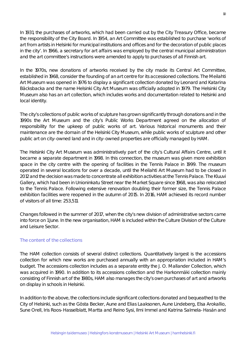In 1931, the purchases of artworks, which had been carried out by the City Treasury Office, became the responsibility of the City Board. In 1954, an Art Committee was established to purchase 'works of art from artists in Helsinki for municipal institutions and offices and for the decoration of public places in the city'. In 1966, a secretary for art affairs was employed by the central municipal administration and the art committee's instructions were amended to apply to purchases of all Finnish art.

In the 1970s, new donations of artworks received by the city made its Central Art Committee, established in 1968, consider the founding of an art centre for its accessioned collections. The Meilahti Art Museum was opened in 1976 to display a significant collection donated by Leonard and Katarina Bäcksbacka and the name *Helsinki City Art Museum* was officially adopted in 1979. The Helsinki City Museum also has an art collection, which includes works and documentation related to Helsinki and local identity.

The city's collections of public works of sculpture has grown significantly through donations and in the 1990s the Art Museum and the city's Public Works Department agreed on the allocation of responsibility for the upkeep of public works of art. Various historical monuments and their maintenance are the domain of the Helsinki City Museum, while public works of sculpture and other public art on city-owned land and in city-owned properties are officially managed by HAM.

The Helsinki City Art Museum was administratively part of the city's Cultural Affairs Centre, until it became a separate department in 1998. In this connection, the museum was given more exhibition space in the city centre with the opening of facilities in the Tennis Palace in 1999. The museum operated in several locations for over a decade, until the Meilahti Art Museum had to be closed in 2012 and the decision was made to concentrate all exhibition activities at the Tennis Palace. The Kluuvi Gallery, which had been in Unioninkatu Street near the Market Square since 1968, was also relocated to the Tennis Palace. Following extensive renovation doubling their former size, the Tennis Palace exhibition facilities were reopened in the autumn of 2015. In 2016, HAM achieved its record number of visitors of all time: 253,511.

Changes followed in the summer of 2017, when the city's new division of administrative sectors came into force on 1 June. In the new organisation, HAM is included within the Culture Division of the Culture and Leisure Sector.

#### The content of the collections

The HAM collection consists of several distinct collections. Quantitatively largest is the accessions collection for which new works are purchased annually with an appropriation included in HAM's budget. The accessions collection includes as a separate entity the J. O. Mallander Collection, which was acquired in 1990. In addition to its accessions collection and the Harkonmäki collection mainly consisting of Finnish art of the 1980s, HAM also manages the city's own purchases of art and artworks on display in schools in Helsinki.

In addition to the above, the collections include significant collections donated and bequeathed to the City of Helsinki, such as the Gösta Becker, Aune and Elias Laaksonen, Aune Lindeberg, Elsa Arokallio, Sune Orell, Iris Roos-Hasselblatt, Martta and Reino Sysi, Ilmi Immel and Katrina Salmela-Hasán and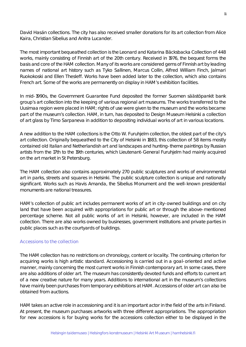David Hasán collections. The city has also received smaller donations for its art collection from Alice Kaira, Christian Sibelius and Anitra Lucander.

The most important bequeathed collection is the Leonard and Katarina Bäcksbacka Collection of 448 works, mainly consisting of Finnish art of the 20th century. Received in 1976, the bequest forms the basis and core of the HAM collection. Many of its works are considered gems of Finnish art by leading names of national art history such as Tyko Sallinen, Marcus Collin, Alfred William Finch, Jalmari Ruokokoski and Ellen Thesleff. Works have been added later to the collection, which also contains French art. Some of the works are permanently on display in HAM's exhibition facilities.

In mid-1990s, the Government Guarantee Fund deposited the former Suomen säästöpankit bank group's art collection into the keeping of various regional art museums. The works transferred to the Uusimaa region were placed in HAM; rights of use were given to the museum and the works became part of the museum's collection. HAM, in turn, has deposited to Design Museum Helsinki a collection of art glass by Timo Sarpaneva in addition to depositing individual works of art in various locations.

A new addition to the HAM collections is the Otto W. Furuhjelm collection, the oldest part of the city's art collection. Originally bequeathed to the City of Helsinki in 1883, this collection of 58 items mostly contained old Italian and Netherlandish art and landscapes and hunting-theme paintings by Russian artists from the 17th to the 19th centuries, which Lieutenant-General Furuhjelm had mainly acquired on the art market in St Petersburg.

The HAM collection also contains approximately 270 public sculptures and works of environmental art in parks, streets and squares in Helsinki. The public sculpture collection is unique and nationally significant. Works such as *Havis Amanda*, the *Sibelius Monument* and the well-known presidential monuments are national treasures.

HAM's collection of public art includes permanent works of art in city-owned buildings and on city land that have been acquired with appropriations for public art or through the above-mentioned percentage scheme. Not all public works of art in Helsinki, however, are included in the HAM collection. There are also works owned by businesses, government institutions and private parties in public places such as the courtyards of buildings.

#### Accessions to the collection

The HAM collection has no restrictions on chronology, content or locality. The continuing criterion for acquiring works is high artistic standard. Accessioning is carried out in a goal-oriented and active manner, mainly concerning the most current works in Finnish contemporary art. In some cases, there are also additions of older art. The museum has consistently devoted funds and efforts to current art of a new creative nature for many years. Additions to international art in the museum's collections have mainly been purchases from temporary exhibitions at HAM. Accessions of older art can also be obtained from auctions.

HAM takes an active role in accessioning and it is an important actor in the field of the arts in Finland. At present, the museum purchases artworks with three different appropriations. The *appropriation for new accessions* is for buying works for the accessions collection either to be displayed in the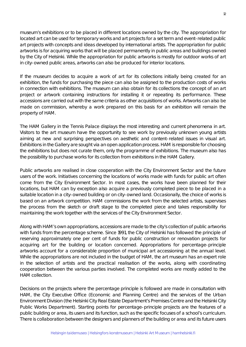museum's exhibitions or to be placed in different locations owned by the city. The *appropriation for located art* can be used for temporary works and art projects for a set term and event-related public art projects with concepts and ideas developed by international artists. The *appropriation for public artworks* is for acquiring works that will be placed permanently in public areas and buildings owned by the City of Helsinki. While the *appropriation for public artworks* is mostly for outdoor works of art in city-owned public areas, artworks can also be produced for interior locations.

If the museum decides to acquire a work of art for its collections initially being created for an exhibition, the funds for purchasing the piece can also be assigned to the production costs of works in connection with exhibitions. The museum can also obtain for its collections the concept of an art project or artwork containing instructions for installing it or repeating its performance. These accessions are carried out with the same criteria as other acquisitions of works. Artworks can also be made on commission, whereby a work prepared on this basis for an exhibition will remain the property of HAM.

The HAM Gallery in the Tennis Palace displays the most interesting and current phenomena in art. Visitors to the art museum have the opportunity to see work by previously unknown young artists aiming at new and surprising perspectives on aesthetic and content-related issues in visual art. Exhibitions in the Gallery are sought via an open application process. HAM is responsible for choosing the exhibitions but does not curate them, only the programme of exhibitions. The museum also has the possibility to purchase works for its collection from exhibitions in the HAM Gallery.

Public artworks are realised in close cooperation with the City Environment Sector and the future users of the work. Initiatives concerning the locations of works made with funds for public art often come from the City Environment Sector. In most cases, the works have been planned for their locations, but HAM can by exception also acquire a previously completed piece to be placed in a suitable location in a city-owned building or on city-owned land. Occasionally, the choice of works is based on an artwork competition. HAM commissions the work from the selected artists, supervises the process from the sketch or draft stage to the completed piece and takes responsibility for maintaining the work together with the services of the City Environment Sector.

Along with HAM's own appropriations, accessions are made to the city's collection of public artworks with funds from the percentage scheme. Since 1991, the City of Helsinki has followed the principle of reserving approximately one per cent of funds for public construction or renovation projects for acquiring art for the building or location concerned. Appropriations for percentage-principle artworks account for a considerable proportion of municipal art accessioning at the annual level. While the appropriations are not included in the budget of HAM, the art museum has an expert role in the selection of artists and the practical realisation of the works, along with coordinating cooperation between the various parties involved. The completed works are mostly added to the HAM collection.

Decisions on the projects where the percentage principle is followed are made in consultation with HAM, the City Executive Office (Economic and Planning Centre) and the services of the Urban Environment Division (the Helsinki City Real Estate Department's Premises Centre and the Helsinki City Public Works Department). Starting points for percentage-principle projects are the features of a public building or area, its users and its function, such as the specific focuses of a school's curriculum. There is collaboration between the designers and planners of the building or area and its future users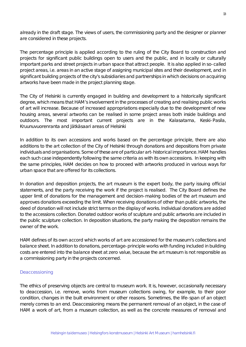already in the draft stage. The views of users, the commissioning party and the designer or planner are considered in these projects.

The percentage principle is applied according to the ruling of the City Board to construction and projects for significant public buildings open to users and the public, and in locally or culturally important parks and street projects in urban space that attract people. It is also applied in so-called project areas, i.e. areas in an active stage of assigning municipal sites and their development, and in significant building projects of the city's subsidiaries and partnerships in which decisions on acquiring artworks have been made in the project planning stage.

The City of Helsinki is currently engaged in building and development to a historically significant degree, which means that HAM's involvement in the processes of creating and realising public works of art will increase. Because of increased appropriations especially due to the development of new housing areas, several artworks can be realised in some project areas both inside buildings and outdoors. The most important current projects are in the Kalasatama, Keski-Pasila, Kruunuvuorenranta and Jätkäsaari areas of Helsinki

In addition to its own accessions and works based on the percentage principle, there are also additions to the art collection of the City of Helsinki through donations and depositions from private individuals and organisations. Some of these are of particular art-historical importance. HAM handles each such case independently following the same criteria as with its own accessions. In keeping with the same principles, HAM decides on how to proceed with artworks produced in various ways for urban space that are offered for its collections.

In donation and deposition projects, the art museum is the expert body, the party issuing official statements, and the party receiving the work if the project is realised. The City Board defines the upper limit of donations for the management and decision-making bodies of the art museum and approves donations exceeding the limit. When receiving donations of other than public artworks, the deed of donation will not include strict terms on the display of works. Individual donations are added to the accessions collection. Donated outdoor works of sculpture and public artworks are included in the public sculpture collection. In deposition situations, the party making the deposition remains the owner of the work.

HAM defines of its own accord which works of art are accessioned for the museum's collections and balance sheet. In addition to donations, percentage-principle works with funding included in building costs are entered into the balance sheet at zero value, because the art museum is not responsible as a commissioning party in the projects concerned.

#### Deaccessioning

The ethics of preserving objects are central to museum work. It is, however, occasionally necessary to deaccession, i.e. remove, works from museum collections owing, for example, to their poor condition, changes in the built environment or other reasons. Sometimes, the life-span of an object merely comes to an end. Deaccessioning means the permanent removal of an object, in the case of HAM a work of art, from a museum collection, as well as the concrete measures of removal and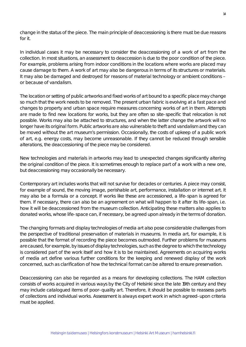change in the status of the piece. The main principle of deaccessioning is there must be due reasons for it.

In individual cases it may be necessary to consider the deaccessioning of a work of art from the collection. In most situations, an assessment to deaccession is due to the poor condition of the piece. For example, problems arising from indoor conditions in the locations where works are placed may cause damage to them. A work of art may also be dangerous in terms of its structures or materials. It may also be damaged and destroyed for reasons of material technology or ambient conditions – or because of vandalism.

The location or setting of public artworks and fixed works of art bound to a specific place may change so much that the work needs to be removed. The present urban fabric is evolving at a fast pace and changes to property and urban space require measures concerning works of art in them. Attempts are made to find new locations for works, but they are often so site-specific that relocation is not possible. Works may also be attached to structures, and when the latter change the artwork will no longer have its original form. Public artworks are also vulnerable to theft and vandalism and they can be moved without the art museum's permission. Occasionally, the costs of upkeep of a public work of art, e.g. energy costs, may become unreasonable. If they cannot be reduced through sensible alterations, the deaccessioning of the piece may be considered.

New technologies and materials in artworks may lead to unexpected changes significantly altering the original condition of the piece. It is sometimes enough to replace part of a work with a new one, but deaccessioning may occasionally be necessary.

Contemporary art includes works that will not survive for decades or centuries. A piece may consist, for example of sound, the moving image, perishable art, performance, installation or internet art. It may also be a formula or a concept. If works like these are accessioned, a life-span is agreed for them. If necessary, there can also be an agreement on what will happen to it after its life-span, i.e. how it will be deaccessioned from the museum collection. Anticipating these matters also applies to donated works, whose life-space can, if necessary, be agreed upon already in the terms of donation.

The changing formats and display technologies of media art also pose considerable challenges from the perspective of traditional preservation of materials in museums. In media art, for example, it is possible that the format of recording the piece becomes outmoded. Further problems for museums are caused, for example, by issues of display technologies, such as the degree to which the technology is considered part of the work itself and how it is to be maintained. Agreements on acquiring works of media art define various further conditions for the keeping and renewed display of the work concerned, such as clarification of how the technical format can be altered to ensure preservation.

Deaccessioning can also be regarded as a means for developing collections. The HAM collection consists of works acquired in various ways by the City of Helsinki since the late 19th century and they may include catalogued items of poor-quality art. Therefore, it should be possible to reassess parts of collections and individual works. Assessment is always expert work in which agreed-upon criteria must be applied.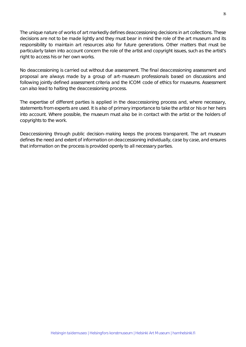The unique nature of works of art markedly defines deaccessioning decisions in art collections. These decisions are not to be made lightly and they must bear in mind the role of the art museum and its responsibility to maintain art resources also for future generations. Other matters that must be particularly taken into account concern the role of the artist and copyright issues, such as the artist's right to access his or her own works.

No deaccessioning is carried out without due assessment. The final deaccessioning assessment and proposal are always made by a group of art-museum professionals based on discussions and following jointly defined assessment criteria and the ICOM code of ethics for museums. Assessment can also lead to halting the deaccessioning process.

The expertise of different parties is applied in the deaccessioning process and, where necessary, statements from experts are used. It is also of primary importance to take the artist or his or her heirs into account. Where possible, the museum must also be in contact with the artist or the holders of copyrights to the work.

Deaccessioning through public decision-making keeps the process transparent. The art museum defines the need and extent of information on deaccessioning individually, case by case, and ensures that information on the process is provided openly to all necessary parties.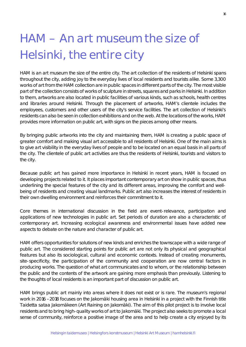### HAM – An art museum the size of Helsinki, the entire city

HAM is an art museum the size of the entire city. The art collection of the residents of Helsinki spans throughout the city, adding joy to the everyday lives of local residents and tourists alike. Some 3,300 works of art from the HAM collection are in public spaces in different parts of the city. The most visible part of the collection consists of works of sculpture in streets, squares and parks in Helsinki. In addition to them, artworks are also located in public facilities of various kinds, such as schools, health centres and libraries around Helsinki. Through the placement of artworks, HAM's clientele includes the employees, customers and other users of the city's service facilities. The art collection of Helsinki's residents can also be seen in collection exhibitions and on the web. At the locations of the works, HAM provides more information on public art, with signs on the pieces among other means.

By bringing public artworks into the city and maintaining them, HAM is creating a public space of greater comfort and making visual art accessible to all residents of Helsinki. One of the main aims is to give art visibility in the everyday lives of people and to be located on an equal basis in all parts of the city. The clientele of public art activities are thus the residents of Helsinki, tourists and visitors to the city.

Because public art has gained more importance in Helsinki in recent years, HAM is focused on developing projects related to it. It places important contemporary art on show in public spaces, thus underlining the special features of the city and its different areas, improving the comfort and wellbeing of residents and creating visual landmarks. Public art also increases the interest of residents in their own dwelling environment and reinforces their commitment to it.

Core themes in international discussion in the field are event-relevance, participation and applications of new technologies in public art. Set periods of duration are also a characteristic of contemporary art. Increasing ecological awareness and environmental issues have added new aspects to debate on the nature and character of public art.

HAM offers opportunities for solutions of new kinds and enriches the townscape with a wide range of public art. The considered starting points for public art are not only its physical and geographical features but also its sociological, cultural and economic contexts. Instead of creating monuments, site-specificity, the participation of the community and cooperation are now central factors in producing works. The question of what art communicates and to whom, or the relationship between the public and the contents of the artwork are gaining more emphasis than previously. Listening to the thoughts of local residents is an important part of discussion on public art.

HAM brings public art mainly into areas where it does not exist or is rare. The museum's regional work in 2016 –2018 focuses on the Jakomäki housing area in Helsinki in a project with the Finnish title *Taidetta sataa Jakomäkeen* (Art Raining on Jakomäki). The aim of this pilot project is to involve local residents and to bring high-quality works of art to Jakomäki. The project also seeks to promote a local sense of community, reinforce a positive image of the area and to help create a city enjoyed by its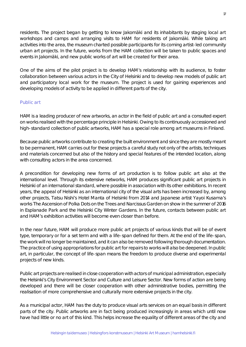residents. The project began by getting to know Jakomäki and its inhabitants by staging local art workshops and camps and arranging visits to HAM for residents of Jakomäki. While taking art activities into the area, the museum charted possible participants for its coming artist-led community urban art projects. In the future, works from the HAM collection will be taken to public spaces and events in Jakomäki, and new public works of art will be created for their area.

One of the aims of the pilot project is to develop HAM's relationship with its audience, to foster collaboration between various actors in the City of Helsinki and to develop new models of public art and participatory local work for the museum. The project is used for gaining experiences and developing models of activity to be applied in different parts of the city.

#### Public art

HAM is a leading producer of new artworks, an actor in the field of public art and a consulted expert on works realised with the percentage principle in Helsinki. Owing to its continuously accessioned and high-standard collection of public artworks, HAM has a special role among art museums in Finland.

Because public artworks contribute to creating the built environment and since they are mostly meant to be permanent, HAM carries out for these projects a careful study not only of the artists, techniques and materials concerned but also of the history and special features of the intended location, along with consulting actors in the area concerned.

A precondition for developing new forms of art production is to follow public art also at the international level. Through its extensive networks, HAM produces significant public art projects in Helsinki of an international standard, where possible in association with its other exhibitions. In recent years, the appeal of Helsinki as an international city of the visual arts has been increased by, among other projects, Tatsu Nishi's *Hotel Manta of Helsinki* from 2014 and Japanese artist Yayoi Kusama's works *The Ascension of Polka Dots on the Trees* and *Narcissus Garden* on show in the summer of 2016 in Esplanade Park and the Helsinki City Winter Gardens. In the future, contacts between public art and HAM's exhibition activities will become even closer than before.

In the near future, HAM will produce more public art projects of various kinds that will be of event type, temporary or for a set term and with a life-span defined for them. At the end of the life-span, the work will no longer be maintained, and it can also be removed following thorough documentation. The practice of using appropriations for public art for repairs to works will also be deepened. In public art, in particular, the concept of life-span means the freedom to produce diverse and experimental projects of new kinds.

Public art projects are realised in close cooperation with actors of municipal administration, especially the Helsinki's City Environment Sector and Culture and Leisure Sector. New forms of action are being developed and there will be closer cooperation with other administrative bodies, permitting the realisation of more comprehensive and culturally more extensive projects in the city.

As a municipal actor, HAM has the duty to produce visual arts services on an equal basis in different parts of the city. Public artworks are in fact being produced increasingly in areas which until now have had little or no art of this kind. This helps increase the equality of different areas of the city and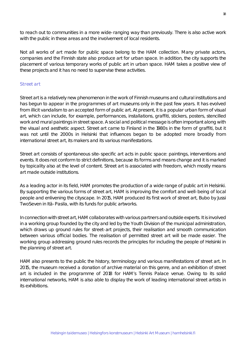to reach out to communities in a more wide-ranging way than previously. There is also active work with the public in these areas and the involvement of local residents.

Not all works of art made for public space belong to the HAM collection. Many private actors, companies and the Finnish state also produce art for urban space. In addition, the city supports the placement of various temporary works of public art in urban space. HAM takes a positive view of these projects and it has no need to supervise these activities.

#### Street art

Street art is a relatively new phenomenon in the work of Finnish museums and cultural institutions and has begun to appear in the programmes of art museums only in the past few years. It has evolved from illicit vandalism to an accepted form of public art. At present, it is a popular urban form of visual art, which can include, for example, performances, installations, graffiti, stickers, posters, stencilled work and mural paintings in street space. A social and political message is often important along with the visual and aesthetic aspect. Street art came to Finland in the 1980s in the form of graffiti, but it was not until the 2000s in Helsinki that influences began to be adopted more broadly from international street art, its makers and its various manifestations.

Street art consists of spontaneous site-specific art acts in public space: paintings, interventions and events. It does not conform to strict definitions, because its forms and means change and it is marked by topicality also at the level of content. Street art is associated with freedom, which mostly means art made outside institutions.

As a leading actor in its field, HAM promotes the production of a wide range of public art in Helsinki. By supporting the various forms of street art, HAM is improving the comfort and well-being of local people and enlivening the cityscape. In 2015, HAM produced its first work of street art, *Bubo* by Jussi TwoSeven in Itä-Pasila, with its funds for public artworks.

In connection with street art, HAM collaborates with various partners and outside experts. It is involved in a working group founded by the city and led by the Youth Division of the municipal administration, which draws up ground rules for street-art projects, their realisation and smooth communication between various official bodies. The realisation of permitted street art will be made easier. The working group addressing ground rules records the principles for including the people of Helsinki in the planning of street art.

HAM also presents to the public the history, terminology and various manifestations of street art. In 2015, the museum received a donation of archive material on this genre, and an exhibition of street art is included in the programme of 2018 for HAM's Tennis Palace venue. Owing to its solid international networks, HAM is also able to display the work of leading international street artists in its exhibitions.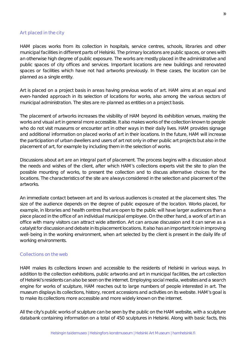#### Art placed in the city

HAM places works from its collection in hospitals, service centres, schools, libraries and other municipal facilities in different parts of Helsinki. The primary locations are public spaces, or ones with an otherwise high degree of public exposure. The works are mostly placed in the administrative and public spaces of city offices and services. Important locations are new buildings and renovated spaces or facilities which have not had artworks previously. In these cases, the location can be planned as a single entity.

Art is placed on a project basis in areas having previous works of art. HAM aims at an equal and even-handed approach in its selection of locations for works, also among the various sectors of municipal administration. The sites are re-planned as entities on a project basis.

The placement of artworks increases the visibility of HAM beyond its exhibition venues, making the works and visual art in general more accessible. It also makes works of the collection known to people who do not visit museums or encounter art in other ways in their daily lives. HAM provides signage and additional information on placed works of art in their locations. In the future, HAM will increase the participation of urban dwellers and users of art not only in other public art projects but also in the placement of art, for example by including them in the selection of works.

Discussions about art are an integral part of placement. The process begins with a discussion about the needs and wishes of the client, after which HAM's collections experts visit the site to plan the possible mounting of works, to present the collection and to discuss alternative choices for the locations. The characteristics of the site are always considered in the selection and placement of the artworks.

An immediate contact between art and its various audiences is created at the placement sites. The size of the audience depends on the degree of public exposure of the location. Works placed, for example, in libraries and health centres that are open to the public will have larger audiences than a piece placed in the office of an individual municipal employee. On the other hand, a work of art in an office with many visitors can attract wide attention. Art can arouse discussion and it can serve as a catalyst for discussion and debate in its placement locations. It also has an important role in improving well-being in the working environment, when art selected by the client is present in the daily life of working environments.

#### Collections on the web

HAM makes its collections known and accessible to the residents of Helsinki in various ways. In addition to the collection exhibitions, public artworks and art in municipal facilities, the art collection of Helsinki's residents can also be seen on the internet. Employing social media, websites and a search engine for works of sculpture, HAM reaches out to large numbers of people interested in art. The museum displays its collections, history, recent accessions and activities on its website. HAM's goal is to make its collections more accessible and more widely known on the internet.

All the city's public works of sculpture can be seen by the public on the HAM website, with a sculpture databank containing information on a total of 450 sculptures in Helsinki. Along with basic facts, this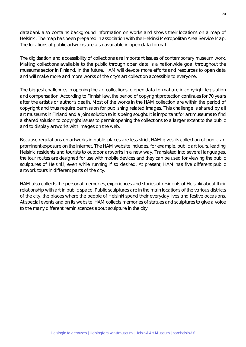databank also contains background information on works and shows their locations on a map of Helsinki. The map has been prepared in association with the Helsinki Metropolitan Area Service Map. The locations of public artworks are also available in open data format.

The digitisation and accessibility of collections are important issues of contemporary museum work. Making collections available to the public through open data is a nationwide goal throughout the museums sector in Finland. In the future, HAM will devote more efforts and resources to open data and will make more and more works of the city's art collection accessible to everyone.

The biggest challenges in opening the art collections to open data format are in copyright legislation and compensation. According to Finnish law, the period of copyright protection continues for 70 years after the artist's or author's death. Most of the works in the HAM collection are within the period of copyright and thus require permission for publishing related images. This challenge is shared by all art museums in Finland and a joint solution to it is being sought. It is important for art museums to find a shared solution to copyright issues to permit opening the collections to a larger extent to the public and to display artworks with images on the web.

Because regulations on artworks in public places are less strict, HAM gives its collection of public art prominent exposure on the internet. The HAM website includes, for example, public art tours, leading Helsinki residents and tourists to outdoor artworks in a new way. Translated into several languages, the tour routes are designed for use with mobile devices and they can be used for viewing the public sculptures of Helsinki, even while running if so desired. At present, HAM has five different public artwork tours in different parts of the city.

HAM also collects the personal memories, experiences and stories of residents of Helsinki about their relationship with art in public space. Public sculptures are in the main locations of the various districts of the city, the places where the people of Helsinki spend their everyday lives and festive occasions. At special events and on its website, HAM collects memories of statues and sculptures to give a voice to the many different reminiscences about sculpture in the city.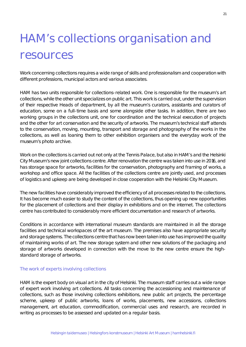### HAM's collections organisation and resources

Work concerning collections requires a wide range of skills and professionalism and cooperation with different professions, municipal actors and various associates.

HAM has two units responsible for collections-related work. One is responsible for the museum's art collections, while the other unit specializes on public art. This work is carried out, under the supervision of their respective Heads of department, by all the museum's curators, assistants and curators of education, some on a full-time basis and some alongside other tasks. In addition, there are two working groups in the collections unit, one for *coordination and the technical execution of projects* and the other for *art conservation and the security of artworks*. The museum's technical staff attends to the conservation, moving, mounting, transport and storage and photography of the works in the collections, as well as loaning them to other exhibition organisers and the everyday work of the museum's photo archive.

Work on the collections is carried out not only at the Tennis Palace, but also in HAM's and the Helsinki City Museum's new joint collections centre. After renovation the centre was taken into use in 2016, and has storage space for artworks, facilities for the conservation, photography and framing of works, a workshop and office space. All the facilities of the collections centre are jointly used, and processes of logistics and upkeep are being developed in close cooperation with the Helsinki City Museum.

The new facilities have considerably improved the efficiency of all processes related to the collections. It has become much easier to study the content of the collections, thus opening up new opportunities for the placement of collections and their display in exhibitions and on the internet. The collections centre has contributed to considerably more efficient documentation and research of artworks.

Conditions in accordance with international museum standards are maintained in all the storage facilities and technical workspaces of the art museum. The premises also have appropriate security and storage systems. The collections centre that has now been taken into use has improved the quality of maintaining works of art. The new storage system and other new solutions of the packaging and storage of artworks developed in connection with the move to the new centre ensure the highstandard storage of artworks.

#### The work of experts involving collections

HAM is the expert body on visual art in the city of Helsinki. The museum staff carries out a wide range of expert work involving art collections. All tasks concerning the accessioning and maintenance of collections, such as those involving collections exhibitions, new public art projects, the percentage scheme, upkeep of public artworks, loans of works, placements, new accessions, collections management, art education, commodification, commercial uses and research, are recorded in writing as processes to be assessed and updated on a regular basis.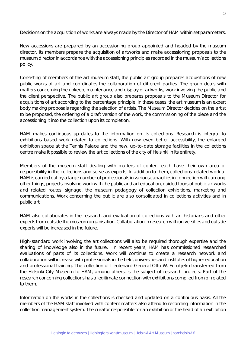Decisions on the acquisition of works are always made by the Director of HAM within set parameters.

New accessions are prepared by an accessioning group appointed and headed by the museum director. Its members prepare the acquisition of artworks and make accessioning proposals to the museum director in accordance with the accessioning principles recorded in the museum's collections policy.

Consisting of members of the art museum staff, the public art group prepares acquisitions of new public works of art and coordinates the collaboration of different parties. The group deals with matters concerning the upkeep, maintenance and display of artworks, work involving the public and the client perspective. The public art group also prepares proposals to the Museum Director for acquisitions of art according to the percentage principle. In these cases, the art museum is an expert body making proposals regarding the selection of artists. The Museum Director decides on the artist to be proposed, the ordering of a draft version of the work, the commissioning of the piece and the accessioning it into the collection upon its completion.

HAM makes continuous up-dates to the information on its collections. Research is integral to exhibitions based work related to collections. With now even better accessibility, the enlarged exhibition space at the Tennis Palace and the new, up-to-date storage facilities in the collections centre make it possible to review the art collections of the city of Helsinki in its entirety.

Members of the museum staff dealing with matters of content each have their own area of responsibility in the collections and serve as experts. In addition to them, collections-related work at HAM is carried out by a large number of professionals in various capacities in connection with, among other things, projects involving work with the public and art education, guided tours of public artworks and related routes, signage, the museum pedagogy of collection exhibitions, marketing and communications. Work concerning the public are also consolidated in collections activities and in public art.

HAM also collaborates in the research and evaluation of collections with art historians and other experts from outside the museum organisation. Collaboration in research with universities and outside experts will be increased in the future.

High-standard work involving the art collections will also be required thorough expertise and the sharing of knowledge also in the future. In recent years, HAM has commissioned researched evaluations of parts of its collections. Work will continue to create a research network and collaboration will increase with professionals in the field, universities and institutes of higher education and professional training. The collection of Lieutenant-General Otto W. Furuhjelm transferred from the Helsinki City Museum to HAM, among others, is the subject of research projects. Part of the research concerning collections has a legitimate connection with exhibitions compiled from or related to them.

Information on the works in the collections is checked and updated on a continuous basis. All the members of the HAM staff involved with content matters also attend to recording information in the collection management system. The curator responsible for an exhibition or the head of an exhibition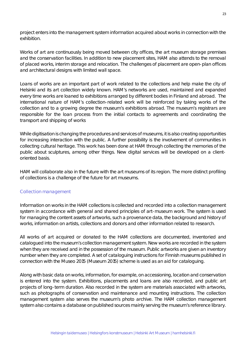project enters into the management system information acquired about works in connection with the exhibition.

Works of art are continuously being moved between city offices, the art museum storage premises and the conservation facilities. In addition to new placement sites, HAM also attends to the removal of placed works, interim storage and relocation. The challenges of placement are open-plan offices and architectural designs with limited wall space.

Loans of works are an important part of work related to the collections and help make the city of Helsinki and its art collection widely known. HAM's networks are used, maintained and expanded every time works are loaned to exhibitions arranged by different bodies in Finland and abroad. The international nature of HAM's collection-related work will be reinforced by taking works of the collection and to a growing degree the museum's exhibitions abroad. The museum's registrars are responsible for the loan process from the initial contacts to agreements and coordinating the transport and shipping of works

While digitisation is changing the procedures and services of museums, it is also creating opportunities for increasing interaction with the public. A further possibility is the involvement of communities in collecting cultural heritage. This work has been done at HAM through collecting the memories of the public about sculptures, among other things. New digital services will be developed on a clientoriented basis.

HAM will collaborate also in the future with the art museums of its region. The more distinct profiling of collections is a challenge of the future for art museums.

#### Collection management

Information on works in the HAM collections is collected and recorded into a collection management system in accordance with general and shared principles of art-museum work. The system is used for managing the content assets of artworks, such a provenance data, the background and history of works, information on artists, collections and donors and other information related to research.

All works of art acquired or donated to the HAM collections are documented, inventoried and catalogued into the museum's collection management system. New works are recorded in the system when they are received and in the possession of the museum. Public artworks are given an inventory number when they are completed. A set of cataloguing instructions for Finnish museums published in connection with the *Museo 2015* (Museum 2015) scheme is used as an aid for cataloguing.

Along with basic data on works, information, for example, on accessioning, location and conservation is entered into the system. Exhibitions, placements and loans are also recorded, and public art projects of long-term duration. Also recorded in the system are materials associated with artworks, such as photographs of conservation and maintenance and mounting instructions. The collection management system also serves the museum's photo archive. The HAM collection management system also contains a database on published sources mainly serving the museum's reference library.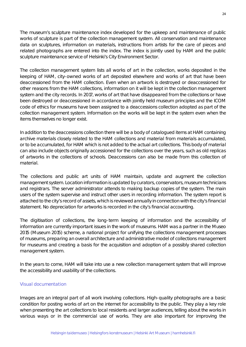The museum's sculpture maintenance index developed for the upkeep and maintenance of public works of sculpture is part of the collection management system. All conservation and maintenance data on sculptures, information on materials, instructions from artists for the care of pieces and related photographs are entered into the index. The index is jointly used by HAM and the public sculpture maintenance service of Helsinki's City Environment Sector.

The collection management system lists all works of art in the collection, works deposited in the keeping of HAM, city-owned works of art deposited elsewhere and works of art that have been deaccessioned from the HAM collection. Even when an artwork is destroyed or deaccessioned for other reasons from the HAM collections, information on it will be kept in the collection management system and the city records. In 2017, works of art that have disappeared from the collections or have been destroyed or deaccessioned in accordance with jointly held museum principles and the ICOM code of ethics for museums have been assigned to a deaccessions collection adopted as part of the collection management system. Information on the works will be kept in the system even when the items themselves no longer exist.

In addition to the deaccessions collection there will be a body of catalogued items at HAM containing archive materials closely related to the HAM collections and material from materials accumulated, or to be accumulated, for HAM which is not added to the actual art collections. This body of material can also include objects originally accessioned for the collections over the years, such as old replicas of artworks in the collections of schools. Deaccessions can also be made from this collection of material.

The collections and public art units of HAM maintain, update and augment the collection management system. Location information is updated by curators, conservators, museum technicians and registrars. The server administrator attends to making backup copies of the system. The main users of the system supervise and instruct other users in recording information. The system report is attached to the city's record of assets, which is reviewed annually in connection with the city's financial statement. No depreciation for artworks is recorded in the city's financial accounting.

The digitisation of collections, the long-term keeping of information and the accessibility of information are currently important issues in the work of museums. HAM was a partner in the *Museo 2015* (Museum 2015) scheme, a national project for unifying the collections management processes of museums, preparing an overall architecture and administrative model of collections management for museums and creating a basis for the acquisition and adoption of a possibly shared collection management system.

In the years to come, HAM will take into use a new collection management system that will improve the accessibility and usability of the collections.

#### Visual documentation

Images are an integral part of all work involving collections. High-quality photographs are a basic condition for posting works of art on the internet for accessibility to the public. They play a key role when presenting the art collections to local residents and larger audiences, telling about the works in various ways or in the commercial use of works. They are also important for improving the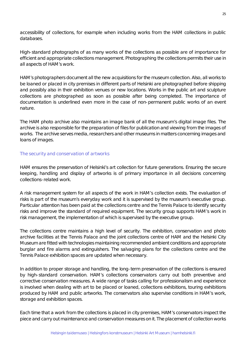accessibility of collections, for example when including works from the HAM collections in public databases.

High-standard photographs of as many works of the collections as possible are of importance for efficient and appropriate collections management. Photographing the collections permits their use in all aspects of HAM's work.

HAM's photographers document all the new acquisitions for the museum collection. Also, all works to be loaned or placed in city premises in different parts of Helsinki are photographed before shipping and possibly also in their exhibition venues or new locations. Works in the public art and sculpture collections are photographed as soon as possible after being completed. The importance of documentation is underlined even more in the case of non-permanent public works of an event nature.

The HAM photo archive also maintains an image bank of all the museum's digital image files. The archive is also responsible for the preparation of files for publication and viewing from the images of works. The archive serves media, researchers and other museums in matters concerning images and loans of images.

#### The security and conservation of artworks

HAM ensures the preservation of Helsinki's art collection for future generations. Ensuring the secure keeping, handling and display of artworks is of primary importance in all decisions concerning collections-related work.

A risk management system for all aspects of the work in HAM's collection exists. The evaluation of risks is part of the museum's everyday work and it is supervised by the museum's executive group. Particular attention has been paid at the collections centre and the Tennis Palace to identify security risks and improve the standard of required equipment. The security group supports HAM's work in risk management, the implementation of which is supervised by the executive group.

The collections centre maintains a high level of security. The exhibition, conservation and photo archive facilities at the Tennis Palace and the joint collections centre of HAM and the Helsinki City Museum are fitted with technologies maintaining recommended ambient conditions and appropriate burglar and fire alarms and extinguishers. The salvaging plans for the collections centre and the Tennis Palace exhibition spaces are updated when necessary.

In addition to proper storage and handling, the long-term preservation of the collections is ensured by high-standard conservation. HAM's collections conservators carry out both preventive and corrective conservation measures. A wide range of tasks calling for professionalism and experience is involved when dealing with art to be placed or loaned, collections exhibitions, touring exhibitions produced by HAM and public artworks. The conservators also supervise conditions in HAM's work, storage and exhibition spaces.

Each time that a work from the collections is placed in city premises, HAM's conservators inspect the piece and carry out maintenance and conservation measures on it. The placement of collection works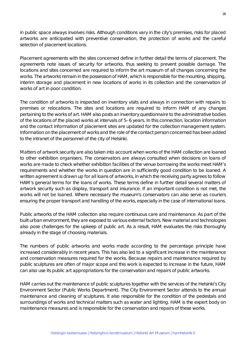in public space always involves risks. Although conditions vary in the city's premises, risks for placed artworks are anticipated with preventive conservation, the protection of works and the careful selection of placement locations.

Placement agreements with the sites concerned define in further detail the terms of placement. The agreements note issues of security for artworks, thus seeking to prevent possible damage. The locations and sites concerned are required to inform the art museum of all changes concerning the works. The artworks remain in the possession of HAM, which is responsible for the mounting, shipping, interim storage and placement in new locations of works in its collection and the conservation of works of art in poor condition.

The condition of artworks is inspected on inventory visits and always in connection with repairs to premises or relocations. The sites and locations are required to inform HAM of any changes pertaining to the works of art. HAM also posts an inventory questionnaire to the administrative bodies of the locations of the placed works at intervals of 5–6 years. In this connection, location information and the contact information of placement sites are updated for the collection management system. Information on the placement of works and the role of the contact person concerned has been added to the intranet of the personnel of the city of Helsinki.

Matters of artwork security are also taken into account when works of the HAM collection are loaned to other exhibition organisers. The conservators are always consulted when decisions on loans of works are made to check whether exhibition facilities of the venue borrowing the works meet HAM's requirements and whether the works in question are in sufficiently good condition to be loaned. A written agreement is drawn up for all loans of artworks, in which the receiving party agrees to follow HAM's general terms for the loans of works. These terms define in further detail several matters of artwork security such as display, transport and insurance. If an important condition is not met, the works will not be loaned. Where necessary the museum's conservators can also serve as couriers ensuring the proper transport and handling of the works, especially in the case of international loans.

Public artworks of the HAM collection also require continuous care and maintenance. As part of the built urban environment, they are exposed to various external factors. New material and technologies also pose challenges for the upkeep of public art. As a result, HAM evaluates the risks thoroughly already in the stage of choosing materials.

The numbers of public artworks and works made according to the percentage principle have increased considerably in recent years. This has also led to a significant increase in the maintenance and conservation measures required for the works. Because repairs and maintenance required by public sculptures are often of major scope and this work is expected to increase in the future, HAM can also use its public art appropriations for the conservation and repairs of public artworks.

HAM carries out the maintenance of public sculptures together with the services of the Helsinki's City Environment Sector (Public Works Department). The City Environment Sector attends to the annual maintenance and cleaning of sculptures. It also responsible for the condition of the pedestals and surroundings of works and technical matters such as water and lighting. HAM is the expert body on maintenance measures and is responsible for the conservation and repairs of these works.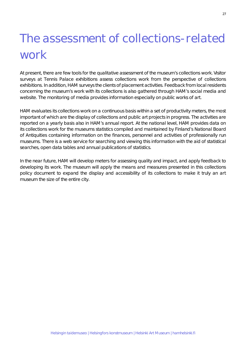### The assessment of collections-related work

At present, there are few tools for the qualitative assessment of the museum's collections work. Visitor surveys at Tennis Palace exhibitions assess collections work from the perspective of collections exhibitions. In addition, HAM surveys the clients of placement activities. Feedback from local residents concerning the museum's work with its collections is also gathered through HAM's social media and website. The monitoring of media provides information especially on public works of art.

HAM evaluates its collections work on a continuous basis within a set of productivity meters, the most important of which are the display of collections and public art projects in progress. The activities are reported on a yearly basis also in HAM's annual report. At the national level, HAM provides data on its collections work for the museums statistics compiled and maintained by Finland's National Board of Antiquities containing information on the finances, personnel and activities of professionally run museums. There is a web service for searching and viewing this information with the aid of statistical searches, open data tables and annual publications of statistics.

In the near future, HAM will develop meters for assessing quality and impact, and apply feedback to developing its work. The museum will apply the means and measures presented in this collections policy document to expand the display and accessibility of its collections to make it truly an art museum the size of the entire city.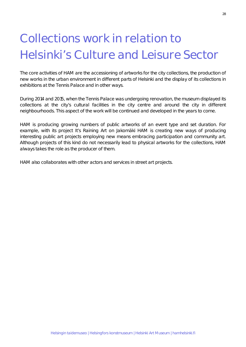### Collections work in relation to Helsinki's Culture and Leisure Sector

The core activities of HAM are the accessioning of artworks for the city collections, the production of new works in the urban environment in different parts of Helsinki and the display of its collections in exhibitions at the Tennis Palace and in other ways.

During 2014 and 2015, when the Tennis Palace was undergoing renovation, the museum displayed its collections at the city's cultural facilities in the city centre and around the city in different neighbourhoods. This aspect of the work will be continued and developed in the years to come.

HAM is producing growing numbers of public artworks of an event type and set duration. For example, with its project *It's Raining Art on Jakomäki* HAM is creating new ways of producing interesting public art projects employing new means embracing participation and community art. Although projects of this kind do not necessarily lead to physical artworks for the collections, HAM always takes the role as the producer of them.

HAM also collaborates with other actors and services in street art projects.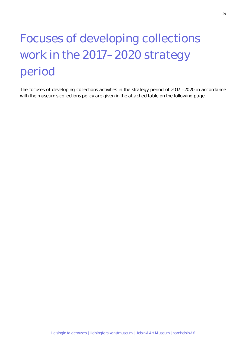## Focuses of developing collections work in the 2017–2020 strategy period

The focuses of developing collections activities in the strategy period of 2017 –2020 in accordance with the museum's collections policy are given in the attached table on the following page.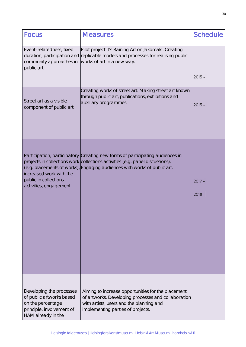| <b>Focus</b>                                                                                                                 | <b>Measures</b>                                                                                                                                                                                                                            | <b>Schedule</b>  |
|------------------------------------------------------------------------------------------------------------------------------|--------------------------------------------------------------------------------------------------------------------------------------------------------------------------------------------------------------------------------------------|------------------|
| Event-relatedness, fixed<br>duration, participation and<br>community approaches in<br>public art                             | Pilot project It's Raining Art on Jakomäki. Creating<br>replicable models and processes for realising public<br>works of art in a new way.                                                                                                 |                  |
|                                                                                                                              |                                                                                                                                                                                                                                            | $2015 -$         |
| Street art as a visible<br>component of public art                                                                           | Creating works of street art. Making street art known<br>through public art, publications, exhibitions and<br>auxiliary programmes.                                                                                                        | $2015 -$         |
| increased work with the<br>public in collections<br>activities, engagement                                                   | Participation, participatory Creating new forms of participating audiences in<br>projects in collections work collections activities (e.g. panel discussions).<br>(e.g. placements of works), Engaging audiences with works of public art. | $2017 -$<br>2018 |
| Developing the processes<br>of public artworks based<br>on the percentage<br>principle, involvement of<br>HAM already in the | Aiming to increase opportunities for the placement<br>of artworks. Developing processes and collaboration<br>with artists, users and the planning and<br>implementing parties of projects.                                                 |                  |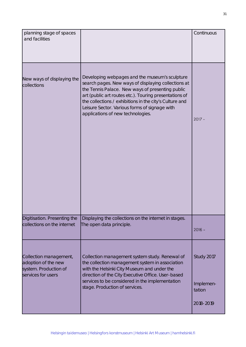| planning stage of spaces<br>and facilities                                                   |                                                                                                                                                                                                                                                                                                                                                                      | Continuous                                     |
|----------------------------------------------------------------------------------------------|----------------------------------------------------------------------------------------------------------------------------------------------------------------------------------------------------------------------------------------------------------------------------------------------------------------------------------------------------------------------|------------------------------------------------|
| New ways of displaying the<br>collections                                                    | Developing webpages and the museum's sculpture<br>search pages. New ways of displaying collections at<br>the Tennis Palace. New ways of presenting public<br>art (public art routes etc.). Touring presentations of<br>the collections / exhibitions in the city's Culture and<br>Leisure Sector. Various forms of signage with<br>applications of new technologies. | $2017 -$                                       |
| Digitisation. Presenting the<br>collections on the internet                                  | Displaying the collections on the internet in stages.<br>The open data principle.                                                                                                                                                                                                                                                                                    | $2016 -$                                       |
| Collection management,<br>adoption of the new<br>system. Production of<br>services for users | Collection management system study. Renewal of<br>the collection management system in association<br>with the Helsinki City Museum and under the<br>direction of the City Executive Office. User-based<br>services to be considered in the implementation<br>stage. Production of services.                                                                          | Study 2017<br>Implemen-<br>tation<br>2018-2019 |